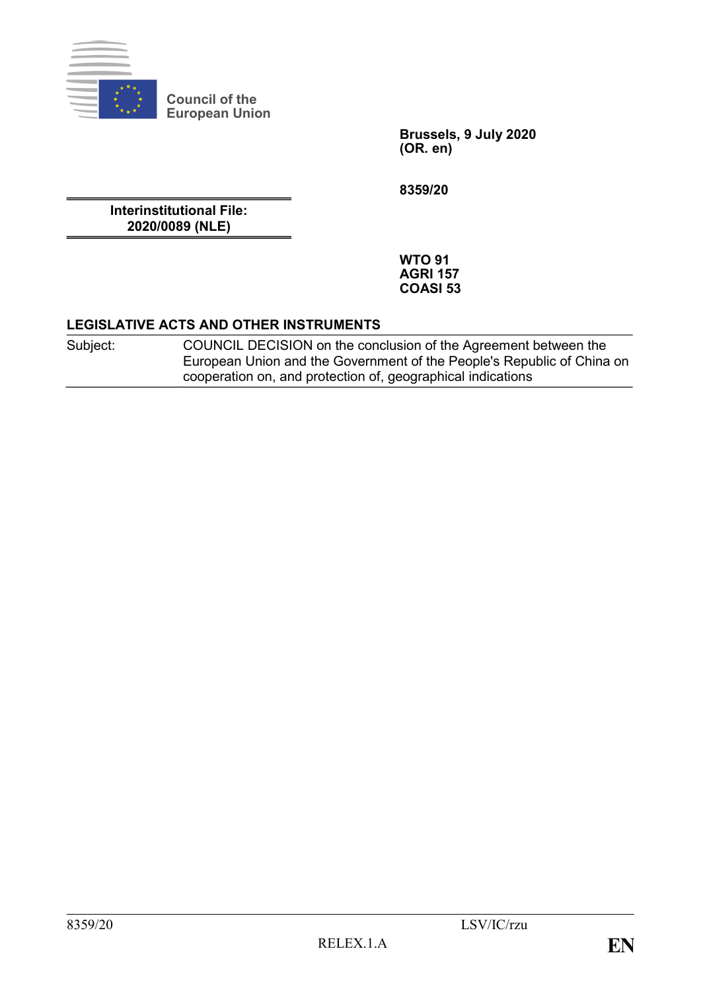

**Council of the European Union**

> **Brussels, 9 July 2020 (OR. en)**

**8359/20**

**Interinstitutional File: 2020/0089 (NLE)**

> **WTO 91 AGRI 157 COASI 53**

#### **LEGISLATIVE ACTS AND OTHER INSTRUMENTS**

Subject: COUNCIL DECISION on the conclusion of the Agreement between the European Union and the Government of the People's Republic of China on cooperation on, and protection of, geographical indications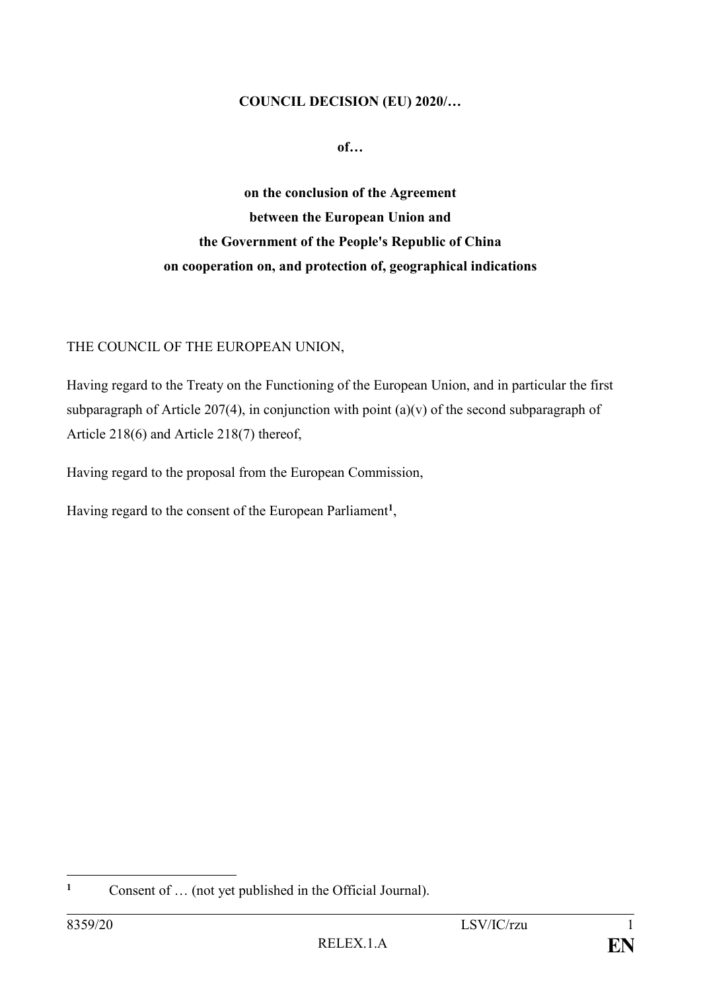#### **COUNCIL DECISION (EU) 2020/…**

**of…**

**on the conclusion of the Agreement between the European Union and the Government of the People's Republic of China on cooperation on, and protection of, geographical indications**

THE COUNCIL OF THE EUROPEAN UNION,

Having regard to the Treaty on the Functioning of the European Union, and in particular the first subparagraph of Article 207(4), in conjunction with point (a)(v) of the second subparagraph of Article 218(6) and Article 218(7) thereof,

Having regard to the proposal from the European Commission,

Having regard to the consent of the European Parliament**<sup>1</sup>** ,

 $\mathbf{1}$ Consent of ... (not yet published in the Official Journal).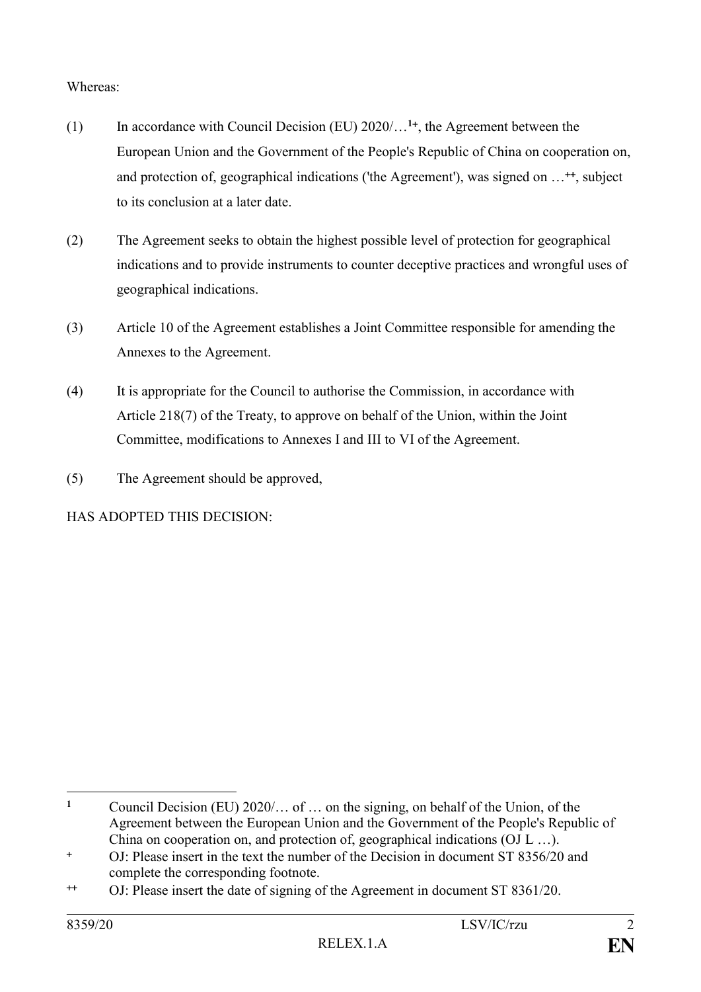# Whereas:

- (1) In accordance with Council Decision (EU) 2020/…**<sup>1</sup>** , the Agreement between the European Union and the Government of the People's Republic of China on cooperation on, and protection of, geographical indications ('the Agreement'), was signed on ...<sup>++</sup>, subject to its conclusion at a later date.
- (2) The Agreement seeks to obtain the highest possible level of protection for geographical indications and to provide instruments to counter deceptive practices and wrongful uses of geographical indications.
- (3) Article 10 of the Agreement establishes a Joint Committee responsible for amending the Annexes to the Agreement.
- (4) It is appropriate for the Council to authorise the Commission, in accordance with Article 218(7) of the Treaty, to approve on behalf of the Union, within the Joint Committee, modifications to Annexes I and III to VI of the Agreement.
- (5) The Agreement should be approved,

# HAS ADOPTED THIS DECISION:

<sup>1</sup> **<sup>1</sup>** Council Decision (EU) 2020/… of … on the signing, on behalf of the Union, of the Agreement between the European Union and the Government of the People's Republic of China on cooperation on, and protection of, geographical indications (OJ L …).

OJ: Please insert in the text the number of the Decision in document ST 8356/20 and complete the corresponding footnote.

OJ: Please insert the date of signing of the Agreement in document ST 8361/20.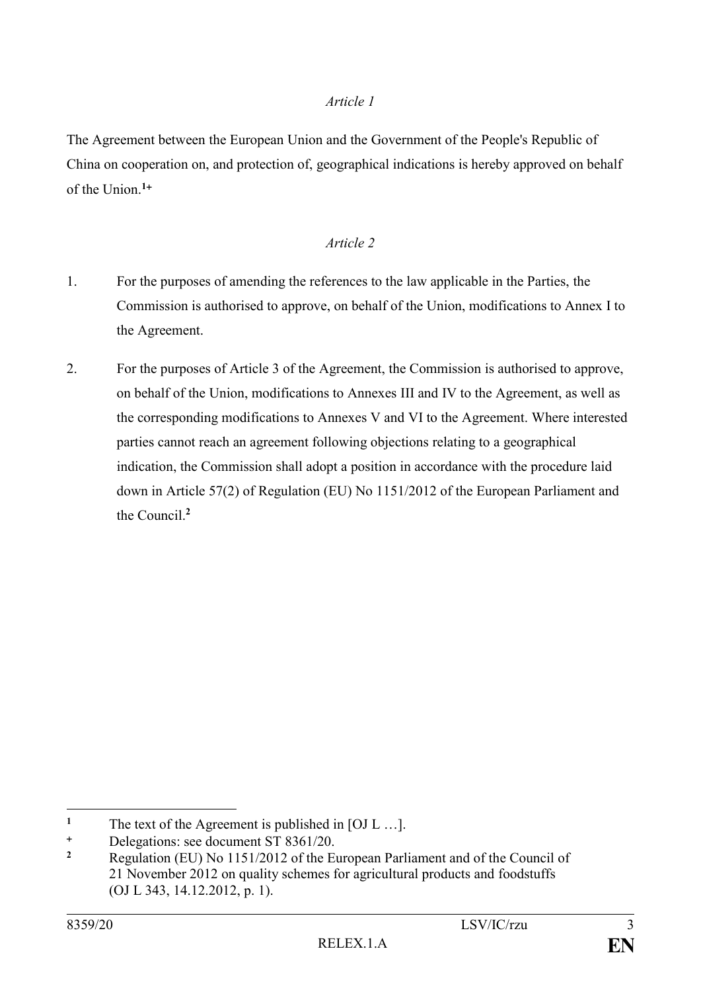### *Article 1*

The Agreement between the European Union and the Government of the People's Republic of China on cooperation on, and protection of, geographical indications is hereby approved on behalf of the Union.**<sup>1</sup>**

## *Article 2*

- 1. For the purposes of amending the references to the law applicable in the Parties, the Commission is authorised to approve, on behalf of the Union, modifications to Annex I to the Agreement.
- 2. For the purposes of Article 3 of the Agreement, the Commission is authorised to approve, on behalf of the Union, modifications to Annexes III and IV to the Agreement, as well as the corresponding modifications to Annexes V and VI to the Agreement. Where interested parties cannot reach an agreement following objections relating to a geographical indication, the Commission shall adopt a position in accordance with the procedure laid down in Article 57(2) of Regulation (EU) No 1151/2012 of the European Parliament and the Council.**<sup>2</sup>**

 $\mathbf{1}$ The text of the Agreement is published in [OJ L ...].

<sup>&</sup>lt;sup>+</sup> Delegations: see document ST 8361/20.

**<sup>2</sup>** Regulation (EU) No 1151/2012 of the European Parliament and of the Council of 21 November 2012 on quality schemes for agricultural products and foodstuffs (OJ L 343, 14.12.2012, p. 1).